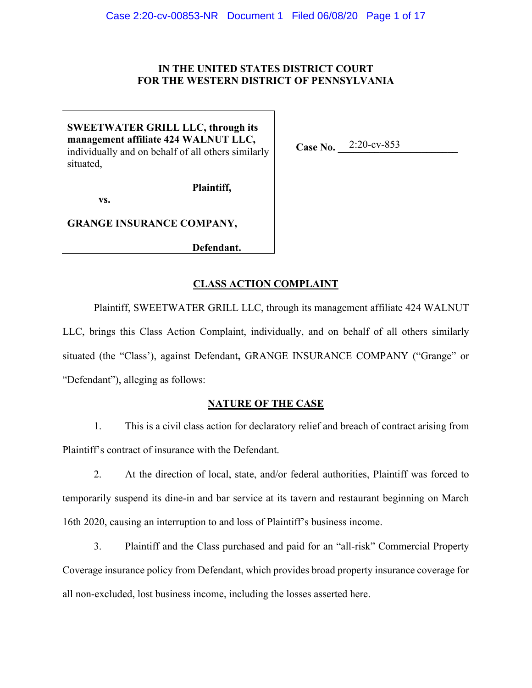# **IN THE UNITED STATES DISTRICT COURT FOR THE WESTERN DISTRICT OF PENNSYLVANIA**

**SWEETWATER GRILL LLC, through its management affiliate 424 WALNUT LLC,**  individually and on behalf of all others similarly situated,

Case No. 2:20-cv-853

**Plaintiff,**

**vs.** 

**GRANGE INSURANCE COMPANY,** 

**Defendant.**

# **CLASS ACTION COMPLAINT**

Plaintiff, SWEETWATER GRILL LLC, through its management affiliate 424 WALNUT LLC, brings this Class Action Complaint, individually, and on behalf of all others similarly situated (the "Class'), against Defendant**,** GRANGE INSURANCE COMPANY ("Grange" or "Defendant"), alleging as follows:

# **NATURE OF THE CASE**

1. This is a civil class action for declaratory relief and breach of contract arising from Plaintiff's contract of insurance with the Defendant.

2. At the direction of local, state, and/or federal authorities, Plaintiff was forced to temporarily suspend its dine-in and bar service at its tavern and restaurant beginning on March 16th 2020, causing an interruption to and loss of Plaintiff's business income.

3. Plaintiff and the Class purchased and paid for an "all-risk" Commercial Property Coverage insurance policy from Defendant, which provides broad property insurance coverage for all non-excluded, lost business income, including the losses asserted here.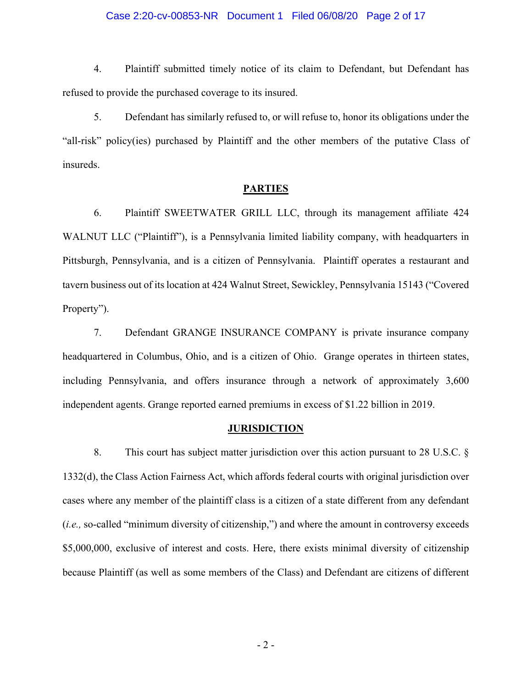#### Case 2:20-cv-00853-NR Document 1 Filed 06/08/20 Page 2 of 17

4. Plaintiff submitted timely notice of its claim to Defendant, but Defendant has refused to provide the purchased coverage to its insured.

5. Defendant has similarly refused to, or will refuse to, honor its obligations under the "all-risk" policy(ies) purchased by Plaintiff and the other members of the putative Class of insureds.

#### **PARTIES**

6. Plaintiff SWEETWATER GRILL LLC, through its management affiliate 424 WALNUT LLC ("Plaintiff"), is a Pennsylvania limited liability company, with headquarters in Pittsburgh, Pennsylvania, and is a citizen of Pennsylvania. Plaintiff operates a restaurant and tavern business out of its location at 424 Walnut Street, Sewickley, Pennsylvania 15143 ("Covered Property").

7. Defendant GRANGE INSURANCE COMPANY is private insurance company headquartered in Columbus, Ohio, and is a citizen of Ohio. Grange operates in thirteen states, including Pennsylvania, and offers insurance through a network of approximately 3,600 independent agents. Grange reported earned premiums in excess of \$1.22 billion in 2019.

#### **JURISDICTION**

8. This court has subject matter jurisdiction over this action pursuant to 28 U.S.C. § 1332(d), the Class Action Fairness Act, which affords federal courts with original jurisdiction over cases where any member of the plaintiff class is a citizen of a state different from any defendant (*i.e.,* so-called "minimum diversity of citizenship,") and where the amount in controversy exceeds \$5,000,000, exclusive of interest and costs. Here, there exists minimal diversity of citizenship because Plaintiff (as well as some members of the Class) and Defendant are citizens of different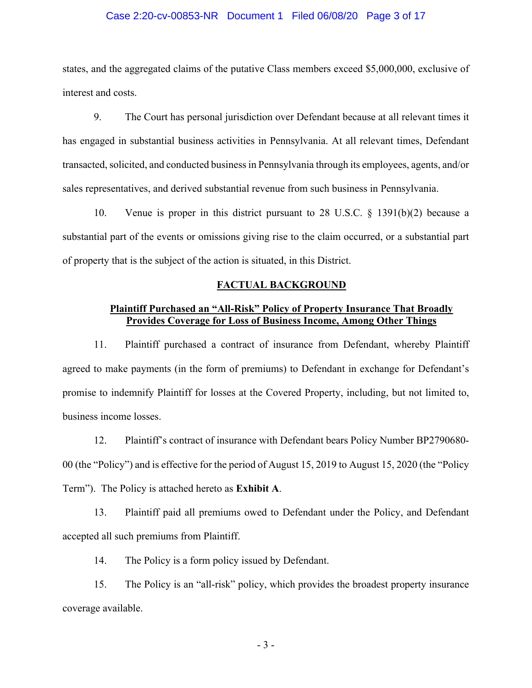#### Case 2:20-cv-00853-NR Document 1 Filed 06/08/20 Page 3 of 17

states, and the aggregated claims of the putative Class members exceed \$5,000,000, exclusive of interest and costs.

9. The Court has personal jurisdiction over Defendant because at all relevant times it has engaged in substantial business activities in Pennsylvania. At all relevant times, Defendant transacted, solicited, and conducted business in Pennsylvania through its employees, agents, and/or sales representatives, and derived substantial revenue from such business in Pennsylvania.

10. Venue is proper in this district pursuant to 28 U.S.C. § 1391(b)(2) because a substantial part of the events or omissions giving rise to the claim occurred, or a substantial part of property that is the subject of the action is situated, in this District.

#### **FACTUAL BACKGROUND**

# **Plaintiff Purchased an "All-Risk" Policy of Property Insurance That Broadly Provides Coverage for Loss of Business Income, Among Other Things**

11. Plaintiff purchased a contract of insurance from Defendant, whereby Plaintiff agreed to make payments (in the form of premiums) to Defendant in exchange for Defendant's promise to indemnify Plaintiff for losses at the Covered Property, including, but not limited to, business income losses.

12. Plaintiff's contract of insurance with Defendant bears Policy Number BP2790680- 00 (the "Policy") and is effective for the period of August 15, 2019 to August 15, 2020 (the "Policy Term"). The Policy is attached hereto as **Exhibit A**.

13. Plaintiff paid all premiums owed to Defendant under the Policy, and Defendant accepted all such premiums from Plaintiff.

14. The Policy is a form policy issued by Defendant.

15. The Policy is an "all-risk" policy, which provides the broadest property insurance coverage available.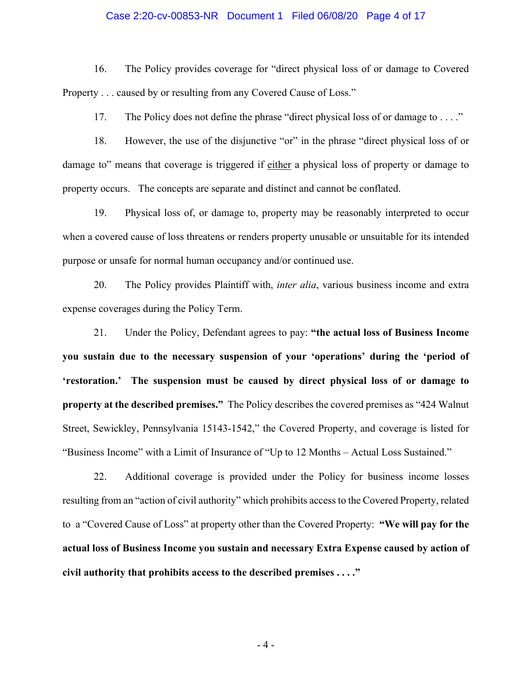#### Case 2:20-cv-00853-NR Document 1 Filed 06/08/20 Page 4 of 17

16. The Policy provides coverage for "direct physical loss of or damage to Covered Property . . . caused by or resulting from any Covered Cause of Loss."

17. The Policy does not define the phrase "direct physical loss of or damage to . . . ."

18. However, the use of the disjunctive "or" in the phrase "direct physical loss of or damage to" means that coverage is triggered if either a physical loss of property or damage to property occurs. The concepts are separate and distinct and cannot be conflated.

19. Physical loss of, or damage to, property may be reasonably interpreted to occur when a covered cause of loss threatens or renders property unusable or unsuitable for its intended purpose or unsafe for normal human occupancy and/or continued use.

20. The Policy provides Plaintiff with, *inter alia*, various business income and extra expense coverages during the Policy Term.

21. Under the Policy, Defendant agrees to pay: **"the actual loss of Business Income you sustain due to the necessary suspension of your 'operations' during the 'period of 'restoration.' The suspension must be caused by direct physical loss of or damage to property at the described premises."** The Policy describes the covered premises as "424 Walnut Street, Sewickley, Pennsylvania 15143-1542," the Covered Property, and coverage is listed for "Business Income" with a Limit of Insurance of "Up to 12 Months – Actual Loss Sustained."

22. Additional coverage is provided under the Policy for business income losses resulting from an "action of civil authority" which prohibits access to the Covered Property, related to a "Covered Cause of Loss" at property other than the Covered Property: **"We will pay for the actual loss of Business Income you sustain and necessary Extra Expense caused by action of civil authority that prohibits access to the described premises . . . ."**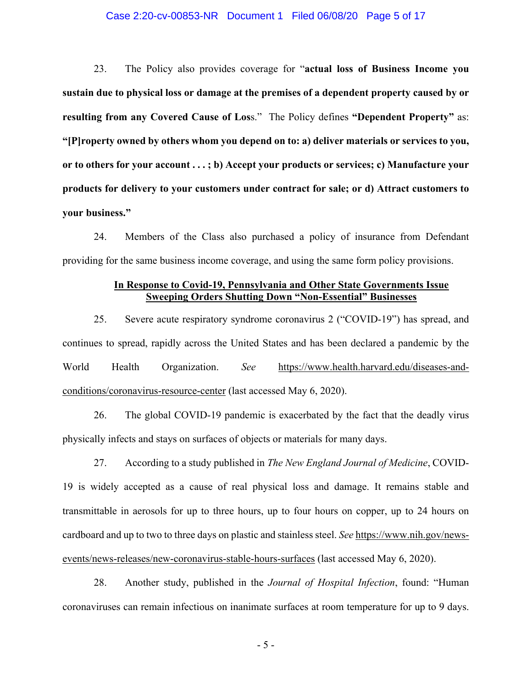#### Case 2:20-cv-00853-NR Document 1 Filed 06/08/20 Page 5 of 17

23. The Policy also provides coverage for "**actual loss of Business Income you sustain due to physical loss or damage at the premises of a dependent property caused by or resulting from any Covered Cause of Los**s." The Policy defines **"Dependent Property"** as: **"[P]roperty owned by others whom you depend on to: a) deliver materials or services to you, or to others for your account . . . ; b) Accept your products or services; c) Manufacture your products for delivery to your customers under contract for sale; or d) Attract customers to your business."** 

24. Members of the Class also purchased a policy of insurance from Defendant providing for the same business income coverage, and using the same form policy provisions.

### **In Response to Covid-19, Pennsylvania and Other State Governments Issue Sweeping Orders Shutting Down "Non-Essential" Businesses**

25. Severe acute respiratory syndrome coronavirus 2 ("COVID-19") has spread, and continues to spread, rapidly across the United States and has been declared a pandemic by the World Health Organization. *See* https://www.health.harvard.edu/diseases-andconditions/coronavirus-resource-center (last accessed May 6, 2020).

26. The global COVID-19 pandemic is exacerbated by the fact that the deadly virus physically infects and stays on surfaces of objects or materials for many days.

27. According to a study published in *The New England Journal of Medicine*, COVID-19 is widely accepted as a cause of real physical loss and damage. It remains stable and transmittable in aerosols for up to three hours, up to four hours on copper, up to 24 hours on cardboard and up to two to three days on plastic and stainless steel. *See* https://www.nih.gov/newsevents/news-releases/new-coronavirus-stable-hours-surfaces (last accessed May 6, 2020).

28. Another study, published in the *Journal of Hospital Infection*, found: "Human coronaviruses can remain infectious on inanimate surfaces at room temperature for up to 9 days.

- 5 -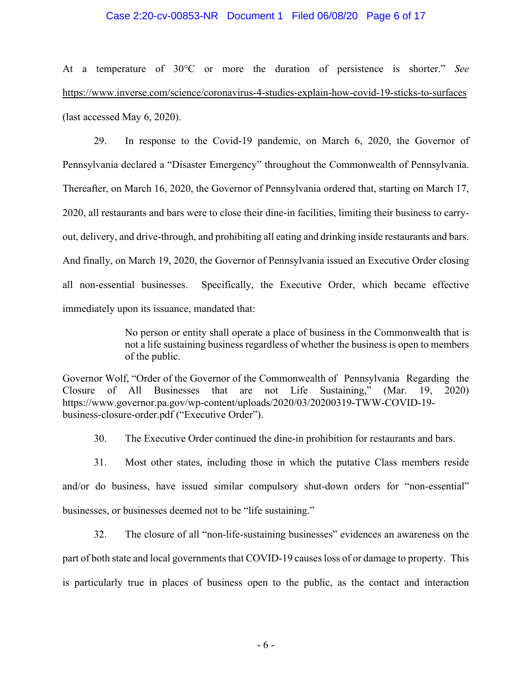#### Case 2:20-cv-00853-NR Document 1 Filed 06/08/20 Page 6 of 17

At a temperature of 30°C or more the duration of persistence is shorter." *See*  https://www.inverse.com/science/coronavirus-4-studies-explain-how-covid-19-sticks-to-surfaces (last accessed May 6, 2020).

29. In response to the Covid-19 pandemic, on March 6, 2020, the Governor of Pennsylvania declared a "Disaster Emergency" throughout the Commonwealth of Pennsylvania. Thereafter, on March 16, 2020, the Governor of Pennsylvania ordered that, starting on March 17, 2020, all restaurants and bars were to close their dine-in facilities, limiting their business to carryout, delivery, and drive-through, and prohibiting all eating and drinking inside restaurants and bars. And finally, on March 19, 2020, the Governor of Pennsylvania issued an Executive Order closing all non-essential businesses. Specifically, the Executive Order, which became effective immediately upon its issuance, mandated that:

> No person or entity shall operate a place of business in the Commonwealth that is not a life sustaining business regardless of whether the business is open to members of the public.

Governor Wolf, "Order of the Governor of the Commonwealth of Pennsylvania Regarding the Closure of All Businesses that are not Life Sustaining," (Mar. 19, 2020) https://www.governor.pa.gov/wp-content/uploads/2020/03/20200319-TWW-COVID-19 business-closure-order.pdf ("Executive Order").

30. The Executive Order continued the dine-in prohibition for restaurants and bars.

31. Most other states, including those in which the putative Class members reside and/or do business, have issued similar compulsory shut-down orders for "non-essential" businesses, or businesses deemed not to be "life sustaining."

32. The closure of all "non-life-sustaining businesses" evidences an awareness on the part of both state and local governments that COVID-19 causes loss of or damage to property. This is particularly true in places of business open to the public, as the contact and interaction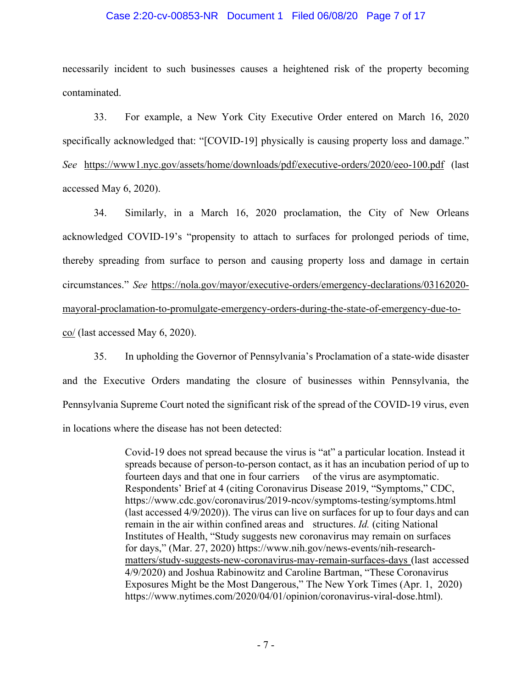#### Case 2:20-cv-00853-NR Document 1 Filed 06/08/20 Page 7 of 17

necessarily incident to such businesses causes a heightened risk of the property becoming contaminated.

33. For example, a New York City Executive Order entered on March 16, 2020 specifically acknowledged that: "[COVID-19] physically is causing property loss and damage." *See* https://www1.nyc.gov/assets/home/downloads/pdf/executive-orders/2020/eeo-100.pdf (last accessed May 6, 2020).

34. Similarly, in a March 16, 2020 proclamation, the City of New Orleans acknowledged COVID-19's "propensity to attach to surfaces for prolonged periods of time, thereby spreading from surface to person and causing property loss and damage in certain circumstances." *See* https://nola.gov/mayor/executive-orders/emergency-declarations/03162020 mayoral-proclamation-to-promulgate-emergency-orders-during-the-state-of-emergency-due-toco/ (last accessed May 6, 2020).

35. In upholding the Governor of Pennsylvania's Proclamation of a state-wide disaster and the Executive Orders mandating the closure of businesses within Pennsylvania, the Pennsylvania Supreme Court noted the significant risk of the spread of the COVID-19 virus, even in locations where the disease has not been detected:

> Covid-19 does not spread because the virus is "at" a particular location. Instead it spreads because of person-to-person contact, as it has an incubation period of up to fourteen days and that one in four carriers of the virus are asymptomatic. Respondents' Brief at 4 (citing Coronavirus Disease 2019, "Symptoms," CDC, https://www.cdc.gov/coronavirus/2019-ncov/symptoms-testing/symptoms.html (last accessed 4/9/2020)). The virus can live on surfaces for up to four days and can remain in the air within confined areas and structures. *Id.* (citing National Institutes of Health, "Study suggests new coronavirus may remain on surfaces for days," (Mar. 27, 2020) https://www.nih.gov/news-events/nih-researchmatters/study-suggests-new-coronavirus-may-remain-surfaces-days (last accessed 4/9/2020) and Joshua Rabinowitz and Caroline Bartman, "These Coronavirus Exposures Might be the Most Dangerous," The New York Times (Apr. 1, 2020) https://www.nytimes.com/2020/04/01/opinion/coronavirus-viral-dose.html).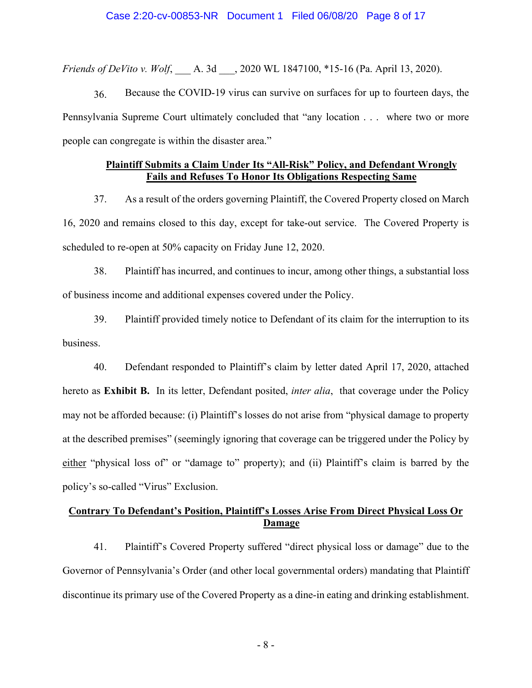*Friends of DeVito v. Wolf*, A. 3d ... 2020 WL 1847100, \*15-16 (Pa. April 13, 2020).

36. Because the COVID-19 virus can survive on surfaces for up to fourteen days, the Pennsylvania Supreme Court ultimately concluded that "any location . . . where two or more people can congregate is within the disaster area."

# **Plaintiff Submits a Claim Under Its "All-Risk" Policy, and Defendant Wrongly Fails and Refuses To Honor Its Obligations Respecting Same**

37. As a result of the orders governing Plaintiff, the Covered Property closed on March 16, 2020 and remains closed to this day, except for take-out service. The Covered Property is scheduled to re-open at 50% capacity on Friday June 12, 2020.

38. Plaintiff has incurred, and continues to incur, among other things, a substantial loss of business income and additional expenses covered under the Policy.

39. Plaintiff provided timely notice to Defendant of its claim for the interruption to its business.

40. Defendant responded to Plaintiff's claim by letter dated April 17, 2020, attached hereto as **Exhibit B.** In its letter, Defendant posited, *inter alia*, that coverage under the Policy may not be afforded because: (i) Plaintiff's losses do not arise from "physical damage to property at the described premises" (seemingly ignoring that coverage can be triggered under the Policy by either "physical loss of" or "damage to" property); and (ii) Plaintiff's claim is barred by the policy's so-called "Virus" Exclusion.

# **Contrary To Defendant's Position, Plaintiff's Losses Arise From Direct Physical Loss Or Damage**

41. Plaintiff's Covered Property suffered "direct physical loss or damage" due to the Governor of Pennsylvania's Order (and other local governmental orders) mandating that Plaintiff discontinue its primary use of the Covered Property as a dine-in eating and drinking establishment.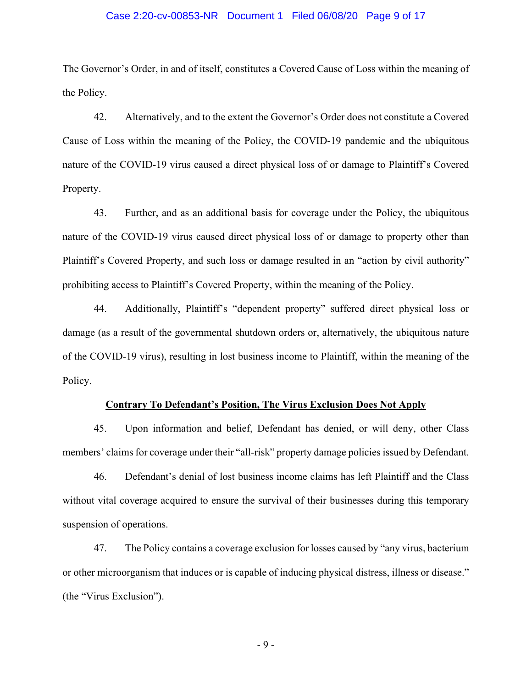#### Case 2:20-cv-00853-NR Document 1 Filed 06/08/20 Page 9 of 17

The Governor's Order, in and of itself, constitutes a Covered Cause of Loss within the meaning of the Policy.

42. Alternatively, and to the extent the Governor's Order does not constitute a Covered Cause of Loss within the meaning of the Policy, the COVID-19 pandemic and the ubiquitous nature of the COVID-19 virus caused a direct physical loss of or damage to Plaintiff's Covered Property.

43. Further, and as an additional basis for coverage under the Policy, the ubiquitous nature of the COVID-19 virus caused direct physical loss of or damage to property other than Plaintiff's Covered Property, and such loss or damage resulted in an "action by civil authority" prohibiting access to Plaintiff's Covered Property, within the meaning of the Policy.

44. Additionally, Plaintiff's "dependent property" suffered direct physical loss or damage (as a result of the governmental shutdown orders or, alternatively, the ubiquitous nature of the COVID-19 virus), resulting in lost business income to Plaintiff, within the meaning of the Policy.

#### **Contrary To Defendant's Position, The Virus Exclusion Does Not Apply**

45. Upon information and belief, Defendant has denied, or will deny, other Class members' claims for coverage under their "all-risk" property damage policies issued by Defendant.

46. Defendant's denial of lost business income claims has left Plaintiff and the Class without vital coverage acquired to ensure the survival of their businesses during this temporary suspension of operations.

47. The Policy contains a coverage exclusion for losses caused by "any virus, bacterium or other microorganism that induces or is capable of inducing physical distress, illness or disease." (the "Virus Exclusion").

- 9 -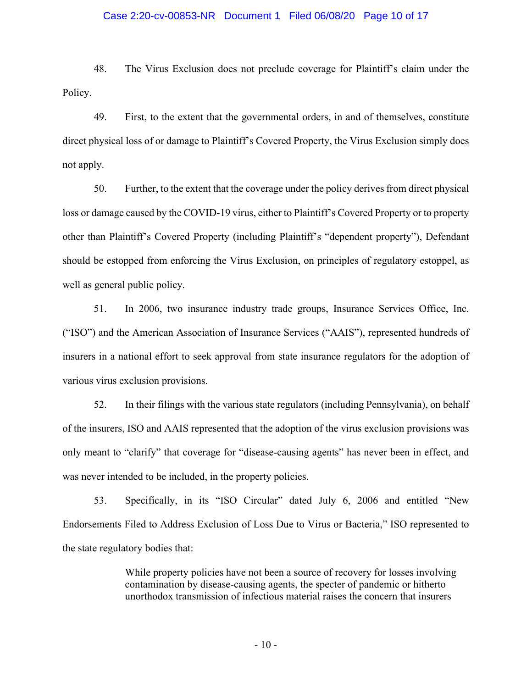#### Case 2:20-cv-00853-NR Document 1 Filed 06/08/20 Page 10 of 17

48. The Virus Exclusion does not preclude coverage for Plaintiff's claim under the Policy.

49. First, to the extent that the governmental orders, in and of themselves, constitute direct physical loss of or damage to Plaintiff's Covered Property, the Virus Exclusion simply does not apply.

50. Further, to the extent that the coverage under the policy derives from direct physical loss or damage caused by the COVID-19 virus, either to Plaintiff's Covered Property or to property other than Plaintiff's Covered Property (including Plaintiff's "dependent property"), Defendant should be estopped from enforcing the Virus Exclusion, on principles of regulatory estoppel, as well as general public policy.

51. In 2006, two insurance industry trade groups, Insurance Services Office, Inc. ("ISO") and the American Association of Insurance Services ("AAIS"), represented hundreds of insurers in a national effort to seek approval from state insurance regulators for the adoption of various virus exclusion provisions.

52. In their filings with the various state regulators (including Pennsylvania), on behalf of the insurers, ISO and AAIS represented that the adoption of the virus exclusion provisions was only meant to "clarify" that coverage for "disease-causing agents" has never been in effect, and was never intended to be included, in the property policies.

53. Specifically, in its "ISO Circular" dated July 6, 2006 and entitled "New Endorsements Filed to Address Exclusion of Loss Due to Virus or Bacteria," ISO represented to the state regulatory bodies that:

> While property policies have not been a source of recovery for losses involving contamination by disease-causing agents, the specter of pandemic or hitherto unorthodox transmission of infectious material raises the concern that insurers

> > - 10 -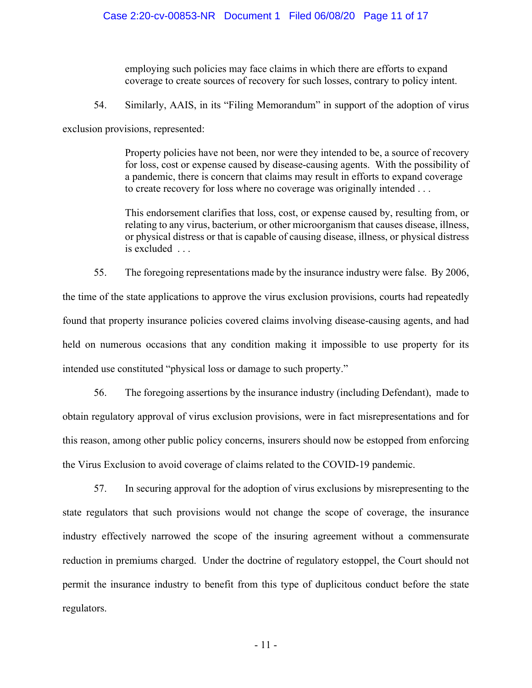employing such policies may face claims in which there are efforts to expand coverage to create sources of recovery for such losses, contrary to policy intent.

54. Similarly, AAIS, in its "Filing Memorandum" in support of the adoption of virus

exclusion provisions, represented:

Property policies have not been, nor were they intended to be, a source of recovery for loss, cost or expense caused by disease-causing agents. With the possibility of a pandemic, there is concern that claims may result in efforts to expand coverage to create recovery for loss where no coverage was originally intended . . .

This endorsement clarifies that loss, cost, or expense caused by, resulting from, or relating to any virus, bacterium, or other microorganism that causes disease, illness, or physical distress or that is capable of causing disease, illness, or physical distress is excluded . . .

55. The foregoing representations made by the insurance industry were false. By 2006, the time of the state applications to approve the virus exclusion provisions, courts had repeatedly found that property insurance policies covered claims involving disease-causing agents, and had held on numerous occasions that any condition making it impossible to use property for its intended use constituted "physical loss or damage to such property."

56. The foregoing assertions by the insurance industry (including Defendant), made to obtain regulatory approval of virus exclusion provisions, were in fact misrepresentations and for this reason, among other public policy concerns, insurers should now be estopped from enforcing the Virus Exclusion to avoid coverage of claims related to the COVID-19 pandemic.

57. In securing approval for the adoption of virus exclusions by misrepresenting to the state regulators that such provisions would not change the scope of coverage, the insurance industry effectively narrowed the scope of the insuring agreement without a commensurate reduction in premiums charged. Under the doctrine of regulatory estoppel, the Court should not permit the insurance industry to benefit from this type of duplicitous conduct before the state regulators.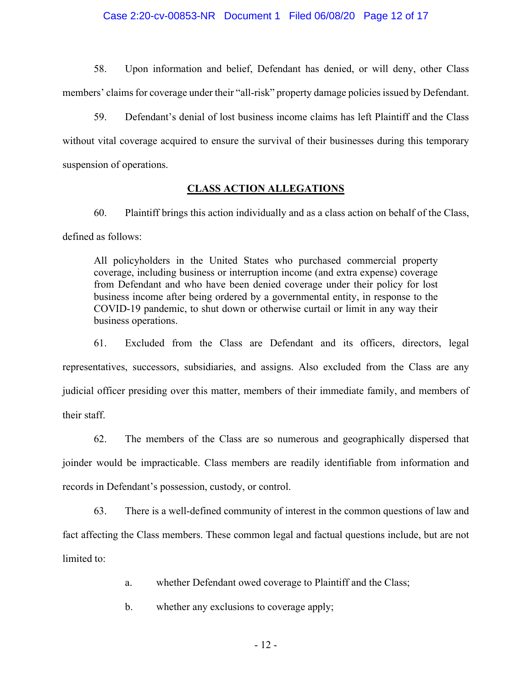#### Case 2:20-cv-00853-NR Document 1 Filed 06/08/20 Page 12 of 17

58. Upon information and belief, Defendant has denied, or will deny, other Class members' claims for coverage under their "all-risk" property damage policies issued by Defendant.

59. Defendant's denial of lost business income claims has left Plaintiff and the Class without vital coverage acquired to ensure the survival of their businesses during this temporary suspension of operations.

# **CLASS ACTION ALLEGATIONS**

60. Plaintiff brings this action individually and as a class action on behalf of the Class, defined as follows:

All policyholders in the United States who purchased commercial property coverage, including business or interruption income (and extra expense) coverage from Defendant and who have been denied coverage under their policy for lost business income after being ordered by a governmental entity, in response to the COVID-19 pandemic, to shut down or otherwise curtail or limit in any way their business operations.

61. Excluded from the Class are Defendant and its officers, directors, legal representatives, successors, subsidiaries, and assigns. Also excluded from the Class are any judicial officer presiding over this matter, members of their immediate family, and members of their staff.

62. The members of the Class are so numerous and geographically dispersed that joinder would be impracticable. Class members are readily identifiable from information and records in Defendant's possession, custody, or control.

63. There is a well-defined community of interest in the common questions of law and fact affecting the Class members. These common legal and factual questions include, but are not limited to:

a. whether Defendant owed coverage to Plaintiff and the Class;

b. whether any exclusions to coverage apply;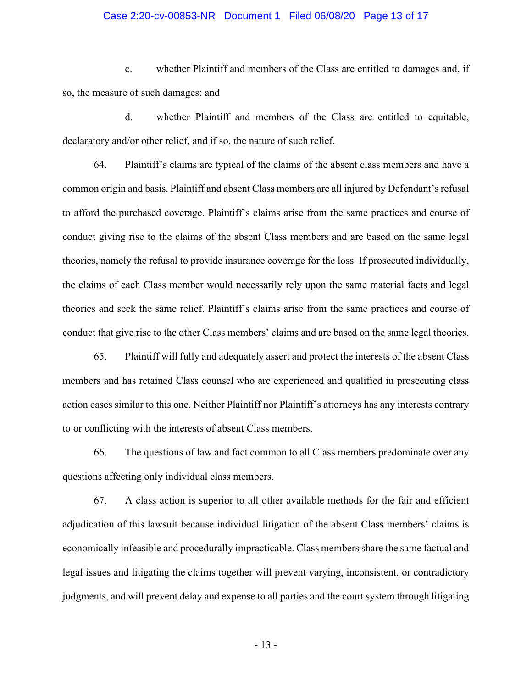#### Case 2:20-cv-00853-NR Document 1 Filed 06/08/20 Page 13 of 17

c. whether Plaintiff and members of the Class are entitled to damages and, if so, the measure of such damages; and

d. whether Plaintiff and members of the Class are entitled to equitable, declaratory and/or other relief, and if so, the nature of such relief.

64. Plaintiff's claims are typical of the claims of the absent class members and have a common origin and basis. Plaintiff and absent Class members are all injured by Defendant's refusal to afford the purchased coverage. Plaintiff's claims arise from the same practices and course of conduct giving rise to the claims of the absent Class members and are based on the same legal theories, namely the refusal to provide insurance coverage for the loss. If prosecuted individually, the claims of each Class member would necessarily rely upon the same material facts and legal theories and seek the same relief. Plaintiff's claims arise from the same practices and course of conduct that give rise to the other Class members' claims and are based on the same legal theories.

65. Plaintiff will fully and adequately assert and protect the interests of the absent Class members and has retained Class counsel who are experienced and qualified in prosecuting class action cases similar to this one. Neither Plaintiff nor Plaintiff's attorneys has any interests contrary to or conflicting with the interests of absent Class members.

66. The questions of law and fact common to all Class members predominate over any questions affecting only individual class members.

67. A class action is superior to all other available methods for the fair and efficient adjudication of this lawsuit because individual litigation of the absent Class members' claims is economically infeasible and procedurally impracticable. Class members share the same factual and legal issues and litigating the claims together will prevent varying, inconsistent, or contradictory judgments, and will prevent delay and expense to all parties and the court system through litigating

- 13 -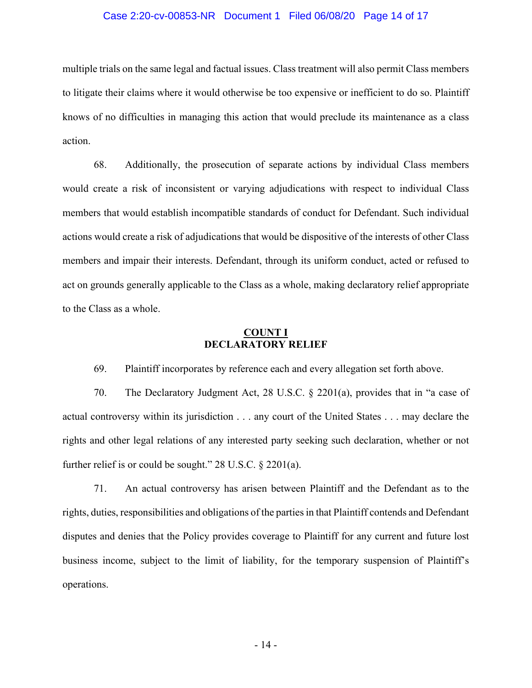#### Case 2:20-cv-00853-NR Document 1 Filed 06/08/20 Page 14 of 17

multiple trials on the same legal and factual issues. Class treatment will also permit Class members to litigate their claims where it would otherwise be too expensive or inefficient to do so. Plaintiff knows of no difficulties in managing this action that would preclude its maintenance as a class action.

68. Additionally, the prosecution of separate actions by individual Class members would create a risk of inconsistent or varying adjudications with respect to individual Class members that would establish incompatible standards of conduct for Defendant. Such individual actions would create a risk of adjudications that would be dispositive of the interests of other Class members and impair their interests. Defendant, through its uniform conduct, acted or refused to act on grounds generally applicable to the Class as a whole, making declaratory relief appropriate to the Class as a whole.

# **COUNT I DECLARATORY RELIEF**

69. Plaintiff incorporates by reference each and every allegation set forth above.

70. The Declaratory Judgment Act, 28 U.S.C. § 2201(a), provides that in "a case of actual controversy within its jurisdiction . . . any court of the United States . . . may declare the rights and other legal relations of any interested party seeking such declaration, whether or not further relief is or could be sought." 28 U.S.C. § 2201(a).

71. An actual controversy has arisen between Plaintiff and the Defendant as to the rights, duties, responsibilities and obligations of the parties in that Plaintiff contends and Defendant disputes and denies that the Policy provides coverage to Plaintiff for any current and future lost business income, subject to the limit of liability, for the temporary suspension of Plaintiff's operations.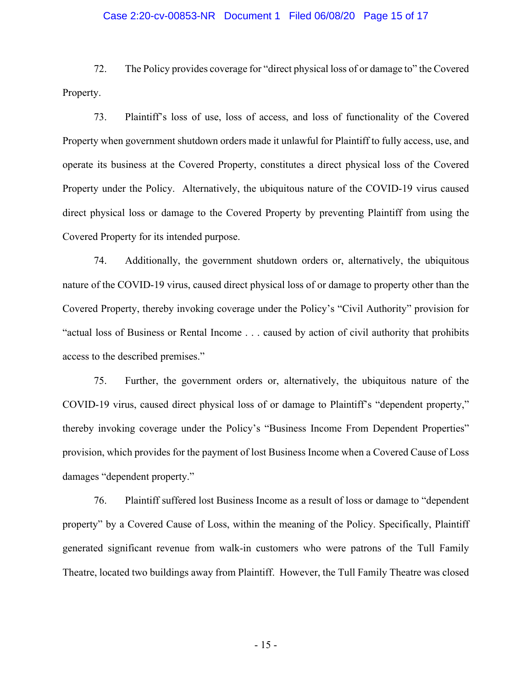#### Case 2:20-cv-00853-NR Document 1 Filed 06/08/20 Page 15 of 17

72. The Policy provides coverage for "direct physical loss of or damage to" the Covered Property.

73. Plaintiff's loss of use, loss of access, and loss of functionality of the Covered Property when government shutdown orders made it unlawful for Plaintiff to fully access, use, and operate its business at the Covered Property, constitutes a direct physical loss of the Covered Property under the Policy. Alternatively, the ubiquitous nature of the COVID-19 virus caused direct physical loss or damage to the Covered Property by preventing Plaintiff from using the Covered Property for its intended purpose.

74. Additionally, the government shutdown orders or, alternatively, the ubiquitous nature of the COVID-19 virus, caused direct physical loss of or damage to property other than the Covered Property, thereby invoking coverage under the Policy's "Civil Authority" provision for "actual loss of Business or Rental Income . . . caused by action of civil authority that prohibits access to the described premises."

75. Further, the government orders or, alternatively, the ubiquitous nature of the COVID-19 virus, caused direct physical loss of or damage to Plaintiff's "dependent property," thereby invoking coverage under the Policy's "Business Income From Dependent Properties" provision, which provides for the payment of lost Business Income when a Covered Cause of Loss damages "dependent property."

76. Plaintiff suffered lost Business Income as a result of loss or damage to "dependent property" by a Covered Cause of Loss, within the meaning of the Policy. Specifically, Plaintiff generated significant revenue from walk-in customers who were patrons of the Tull Family Theatre, located two buildings away from Plaintiff. However, the Tull Family Theatre was closed

- 15 -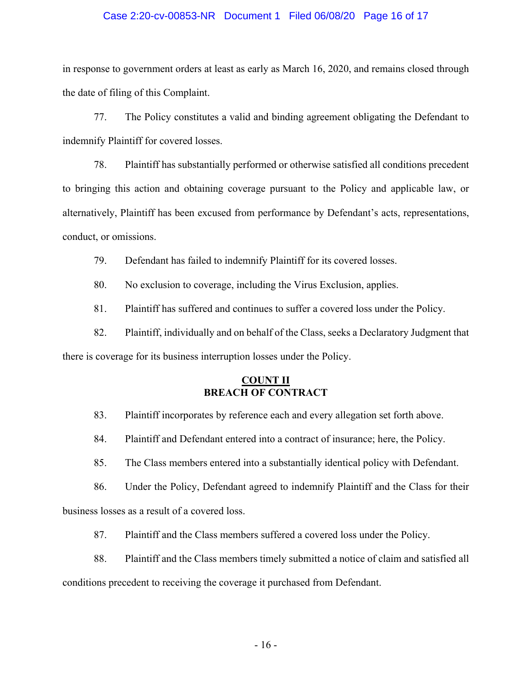#### Case 2:20-cv-00853-NR Document 1 Filed 06/08/20 Page 16 of 17

in response to government orders at least as early as March 16, 2020, and remains closed through the date of filing of this Complaint.

77. The Policy constitutes a valid and binding agreement obligating the Defendant to indemnify Plaintiff for covered losses.

78. Plaintiff has substantially performed or otherwise satisfied all conditions precedent to bringing this action and obtaining coverage pursuant to the Policy and applicable law, or alternatively, Plaintiff has been excused from performance by Defendant's acts, representations, conduct, or omissions.

79. Defendant has failed to indemnify Plaintiff for its covered losses.

80. No exclusion to coverage, including the Virus Exclusion, applies.

81. Plaintiff has suffered and continues to suffer a covered loss under the Policy.

82. Plaintiff, individually and on behalf of the Class, seeks a Declaratory Judgment that there is coverage for its business interruption losses under the Policy.

# **COUNT II BREACH OF CONTRACT**

83. Plaintiff incorporates by reference each and every allegation set forth above.

84. Plaintiff and Defendant entered into a contract of insurance; here, the Policy.

85. The Class members entered into a substantially identical policy with Defendant.

86. Under the Policy, Defendant agreed to indemnify Plaintiff and the Class for their

business losses as a result of a covered loss.

87. Plaintiff and the Class members suffered a covered loss under the Policy.

88. Plaintiff and the Class members timely submitted a notice of claim and satisfied all conditions precedent to receiving the coverage it purchased from Defendant.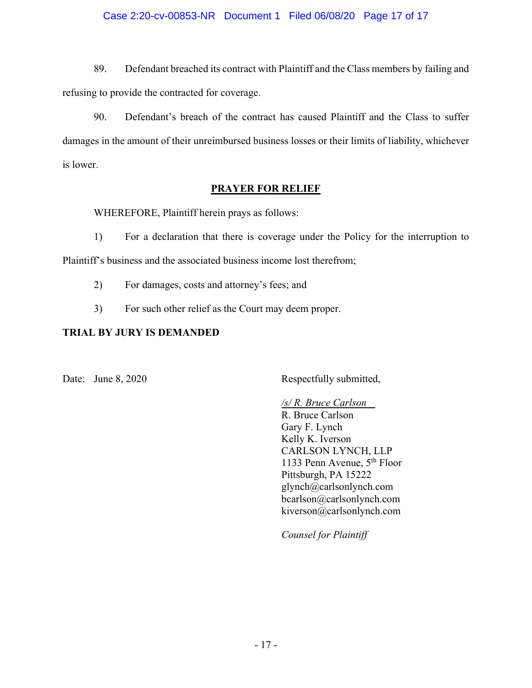# Case 2:20-cv-00853-NR Document 1 Filed 06/08/20 Page 17 of 17

89. Defendant breached its contract with Plaintiff and the Class members by failing and refusing to provide the contracted for coverage.

90. Defendant's breach of the contract has caused Plaintiff and the Class to suffer damages in the amount of their unreimbursed business losses or their limits of liability, whichever is lower.

# **PRAYER FOR RELIEF**

WHEREFORE, Plaintiff herein prays as follows:

1) For a declaration that there is coverage under the Policy for the interruption to Plaintiff's business and the associated business income lost therefrom;

- 2) For damages, costs and attorney's fees; and
- 3) For such other relief as the Court may deem proper.

# **TRIAL BY JURY IS DEMANDED**

Date: June 8, 2020 Respectfully submitted,

*/s/ R. Bruce Carlson* R. Bruce Carlson Gary F. Lynch Kelly K. Iverson CARLSON LYNCH, LLP 1133 Penn Avenue, 5th Floor Pittsburgh, PA 15222 glynch@carlsonlynch.com bcarlson@carlsonlynch.com kiverson@carlsonlynch.com

*Counsel for Plaintiff*